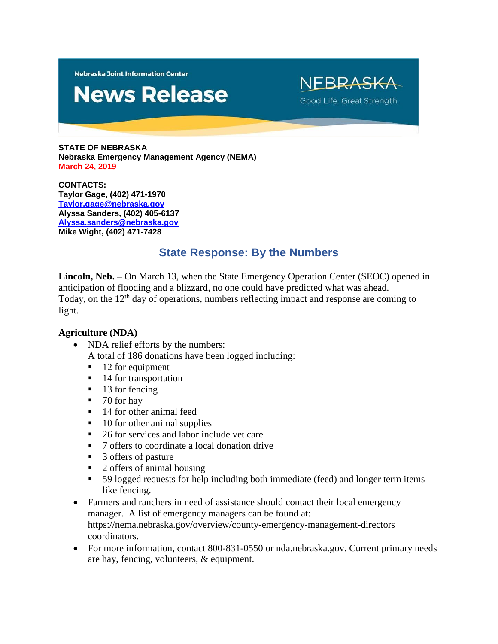**Nebraska Joint Information Center** 

# **News Release**

NEBRASKA Good Life. Great Strength.

**STATE OF NEBRASKA Nebraska Emergency Management Agency (NEMA) March 24, 2019**

**CONTACTS: Taylor Gage, (402) 471-1970 [Taylor.gage@nebraska.gov](mailto:Taylor.gage@nebraska.gov) Alyssa Sanders, (402) 405-6137 [Alyssa.sanders@nebraska.gov](mailto:Alyssa.sanders@nebraska.gov) Mike Wight, (402) 471-7428**

## **State Response: By the Numbers**

**Lincoln, Neb.** – On March 13, when the State Emergency Operation Center (SEOC) opened in anticipation of flooding and a blizzard, no one could have predicted what was ahead. Today, on the 12<sup>th</sup> day of operations, numbers reflecting impact and response are coming to light.

## **Agriculture (NDA)**

- NDA relief efforts by the numbers:
	- A total of 186 donations have been logged including:
	- $\blacksquare$  12 for equipment
	- 14 for transportation
	- $\blacksquare$  13 for fencing
	- $\blacksquare$  70 for hay
	- 14 for other animal feed
	- $\blacksquare$  10 for other animal supplies
	- 26 for services and labor include vet care
	- 7 offers to coordinate a local donation drive
	- 3 offers of pasture
	- 2 offers of animal housing
	- 59 logged requests for help including both immediate (feed) and longer term items like fencing.
- Farmers and ranchers in need of assistance should contact their local emergency manager. A list of emergency managers can be found at: https://nema.nebraska.gov/overview/county-emergency-management-directors coordinators.
- For more information, contact 800-831-0550 or nda.nebraska.gov. Current primary needs are hay, fencing, volunteers, & equipment.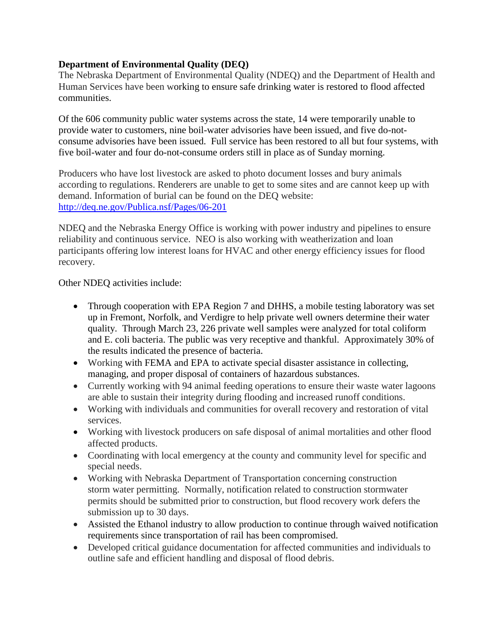## **Department of Environmental Quality (DEQ)**

The Nebraska Department of Environmental Quality (NDEQ) and the Department of Health and Human Services have been working to ensure safe drinking water is restored to flood affected communities.

Of the 606 community public water systems across the state, 14 were temporarily unable to provide water to customers, nine boil-water advisories have been issued, and five do-notconsume advisories have been issued. Full service has been restored to all but four systems, with five boil-water and four do-not-consume orders still in place as of Sunday morning.

Producers who have lost livestock are asked to photo document losses and bury animals according to regulations. Renderers are unable to get to some sites and are cannot keep up with demand. Information of burial can be found on the DEQ website: <http://deq.ne.gov/Publica.nsf/Pages/06-201>

NDEQ and the Nebraska Energy Office is working with power industry and pipelines to ensure reliability and continuous service. NEO is also working with weatherization and loan participants offering low interest loans for HVAC and other energy efficiency issues for flood recovery.

Other NDEQ activities include:

- Through cooperation with EPA Region 7 and DHHS, a mobile testing laboratory was set up in Fremont, Norfolk, and Verdigre to help private well owners determine their water quality. Through March 23, 226 private well samples were analyzed for total coliform and E. coli bacteria. The public was very receptive and thankful. Approximately 30% of the results indicated the presence of bacteria.
- Working with FEMA and EPA to activate special disaster assistance in collecting, managing, and proper disposal of containers of hazardous substances.
- Currently working with 94 animal feeding operations to ensure their waste water lagoons are able to sustain their integrity during flooding and increased runoff conditions.
- Working with individuals and communities for overall recovery and restoration of vital services.
- Working with livestock producers on safe disposal of animal mortalities and other flood affected products.
- Coordinating with local emergency at the county and community level for specific and special needs.
- Working with Nebraska Department of Transportation concerning construction storm water permitting. Normally, notification related to construction stormwater permits should be submitted prior to construction, but flood recovery work defers the submission up to 30 days.
- Assisted the Ethanol industry to allow production to continue through waived notification requirements since transportation of rail has been compromised.
- Developed critical guidance documentation for affected communities and individuals to outline safe and efficient handling and disposal of flood debris.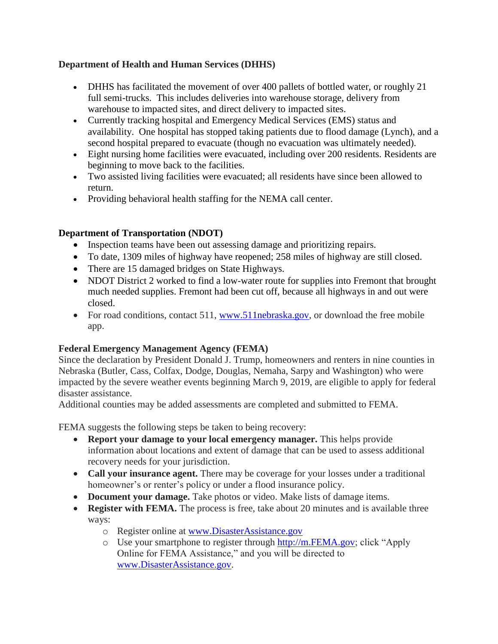## **Department of Health and Human Services (DHHS)**

- DHHS has facilitated the movement of over 400 pallets of bottled water, or roughly 21 full semi-trucks. This includes deliveries into warehouse storage, delivery from warehouse to impacted sites, and direct delivery to impacted sites.
- Currently tracking hospital and Emergency Medical Services (EMS) status and availability. One hospital has stopped taking patients due to flood damage (Lynch), and a second hospital prepared to evacuate (though no evacuation was ultimately needed).
- Eight nursing home facilities were evacuated, including over 200 residents. Residents are beginning to move back to the facilities.
- Two assisted living facilities were evacuated; all residents have since been allowed to return.
- Providing behavioral health staffing for the NEMA call center.

## **Department of Transportation (NDOT)**

- Inspection teams have been out assessing damage and prioritizing repairs.
- To date, 1309 miles of highway have reopened; 258 miles of highway are still closed.
- There are 15 damaged bridges on State Highways.
- NDOT District 2 worked to find a low-water route for supplies into Fremont that brought much needed supplies. Fremont had been cut off, because all highways in and out were closed.
- For road conditions, contact 511, [www.511nebraska.gov,](http://www.511nebraska.gov/) or download the free mobile app.

## **Federal Emergency Management Agency (FEMA)**

Since the declaration by President Donald J. Trump, homeowners and renters in nine counties in Nebraska (Butler, Cass, Colfax, Dodge, Douglas, Nemaha, Sarpy and Washington) who were impacted by the severe weather events beginning March 9, 2019, are eligible to apply for federal disaster assistance.

Additional counties may be added assessments are completed and submitted to FEMA.

FEMA suggests the following steps be taken to being recovery:

- **Report your damage to your local emergency manager.** This helps provide information about locations and extent of damage that can be used to assess additional recovery needs for your jurisdiction.
- **Call your insurance agent.** There may be coverage for your losses under a traditional homeowner's or renter's policy or under a flood insurance policy.
- **Document your damage.** Take photos or video. Make lists of damage items.
- **Register with FEMA.** The process is free, take about 20 minutes and is available three ways:
	- o Register online at [www.DisasterAssistance.gov](http://www.disasterassistance.gov/)
	- o Use your smartphone to register through [http://m.FEMA.gov;](http://m.fema.gov/) click "Apply Online for FEMA Assistance," and you will be directed to [www.DisasterAssistance.gov.](http://www.disasterassistance.gov/)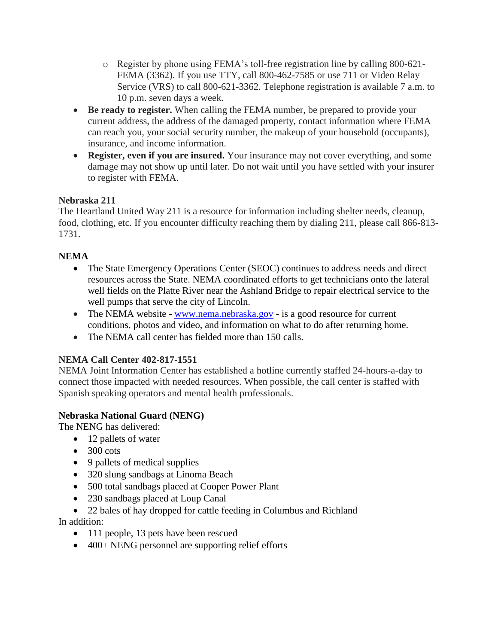- o Register by phone using FEMA's toll-free registration line by calling 800-621- FEMA (3362). If you use TTY, call 800-462-7585 or use 711 or Video Relay Service (VRS) to call 800-621-3362. Telephone registration is available 7 a.m. to 10 p.m. seven days a week.
- **Be ready to register.** When calling the FEMA number, be prepared to provide your current address, the address of the damaged property, contact information where FEMA can reach you, your social security number, the makeup of your household (occupants), insurance, and income information.
- **Register, even if you are insured.** Your insurance may not cover everything, and some damage may not show up until later. Do not wait until you have settled with your insurer to register with FEMA.

## **Nebraska 211**

The Heartland United Way 211 is a resource for information including shelter needs, cleanup, food, clothing, etc. If you encounter difficulty reaching them by dialing 211, please call 866-813- 1731.

## **NEMA**

- The State Emergency Operations Center (SEOC) continues to address needs and direct resources across the State. NEMA coordinated efforts to get technicians onto the lateral well fields on the Platte River near the Ashland Bridge to repair electrical service to the well pumps that serve the city of Lincoln.
- The NEMA website [www.nema.nebraska.gov](http://www.nema.nebraska.gov/) is a good resource for current conditions, photos and video, and information on what to do after returning home.
- The NEMA call center has fielded more than 150 calls.

## **NEMA Call Center 402-817-1551**

NEMA Joint Information Center has established a hotline currently staffed 24-hours-a-day to connect those impacted with needed resources. When possible, the call center is staffed with Spanish speaking operators and mental health professionals.

## **Nebraska National Guard (NENG)**

The NENG has delivered:

- 12 pallets of water
- $\bullet$  300 cots
- 9 pallets of medical supplies
- 320 slung sandbags at Linoma Beach
- 500 total sandbags placed at Cooper Power Plant
- 230 sandbags placed at Loup Canal
- 22 bales of hay dropped for cattle feeding in Columbus and Richland

In addition:

- 111 people, 13 pets have been rescued
- 400+ NENG personnel are supporting relief efforts